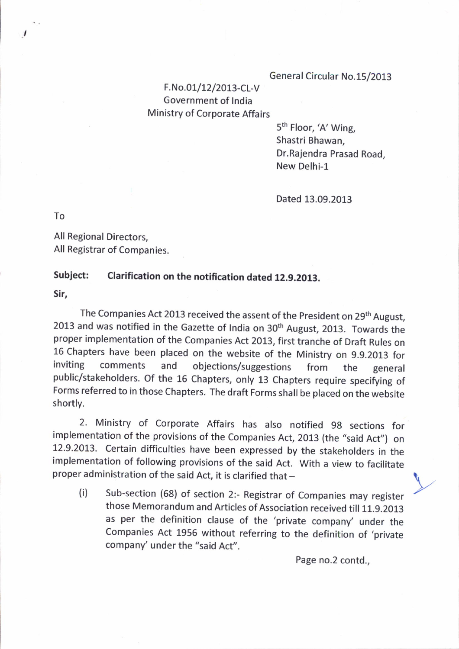General Circular No.15/2013

F.No.OL/72/2o13-cL-V Government of lndia Ministry of Corporate Affairs

> 5<sup>th</sup> Floor, 'A' Wing, Shastri Bhawan, Dr.Rajendra Prasad Road, New Delhi-l

Dated 13.09.2013

To

All Regional Directors, All Registrar of Companies.

## Subject: Clarification on the notification dated 12.9.2013.

Sir,

The Companies Act 2013 received the assent of the President on 29<sup>th</sup> August, 2013 and was notified in the Gazette of India on 30<sup>th</sup> August, 2013. Towards the proper implementation of the companies Act 2013, first tranche of Draft Rules on <sup>16</sup>chapters have been placed on the website of the Ministry on 9.9.2013 for inviting comments and objections/suggestions from the general public/stakeholders. of the 16 chapters, only 13 chapters require specifying of Forms referred to in those chapters. The draft Forms shall be placed on the website shortly.

2. Ministry of corporate Affairs has also notified 9g sections for implementation of the provisions of the Companies Act, 2013 (the "said Act") on 12.9.2013. Certain difficulties have been expressed by the stakeholders in the implementation of following provisions of the said Act. with a view to facilitate proper administration of the said Act, it is clarified that  $-$ 

(i) Sub-section (58) of section 2:- Registrar of Companies may register those Memorandum and Articles of Association received till 11,9.2013 as per the definition clause of the 'private company' under the Companies Act 1956 without referring to the definition of 'private company' under the "said Act".

Page no.2 contd.,